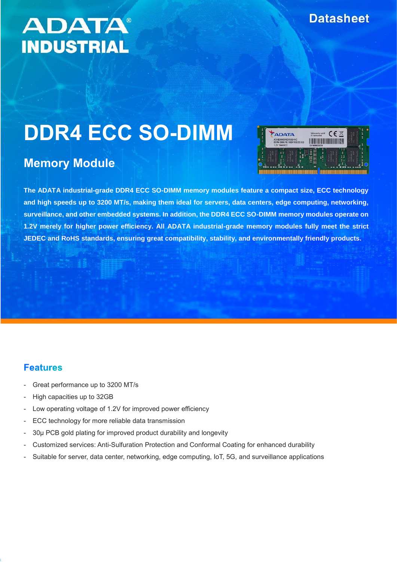# **ADATA® INDUSTRIAL**

# **DDR4 ECC SO-DIMM**

# **Memory Module**



**The ADATA industrial-grade DDR4 ECC SO-DIMM memory modules feature a compact size, ECC technology and high speeds up to 3200 MT/s, making them ideal for servers, data centers, edge computing, networking, surveillance, and other embedded systems. In addition, the DDR4 ECC SO-DIMM memory modules operate on 1.2V merely for higher power efficiency. All ADATA industrial-grade memory modules fully meet the strict JEDEC and RoHS standards, ensuring great compatibility, stability, and environmentally friendly products.**

#### **Features**

- Great performance up to 3200 MT/s
- High capacities up to 32GB
- Low operating voltage of 1.2V for improved power efficiency
- ECC technology for more reliable data transmission
- 30µ PCB gold plating for improved product durability and longevity
- Customized services: Anti-Sulfuration Protection and Conformal Coating for enhanced durability
- Suitable for server, data center, networking, edge computing, IoT, 5G, and surveillance applications